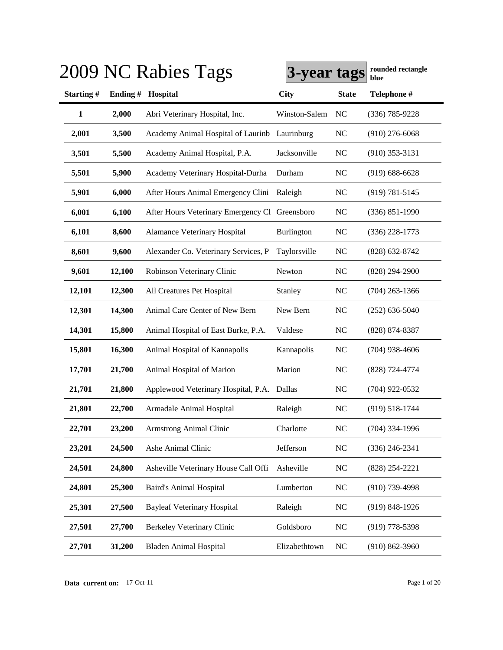|              |        | 2009 NC Rabies Tags                            | 3-year tags   |                | rounded rectangle<br>blue |
|--------------|--------|------------------------------------------------|---------------|----------------|---------------------------|
| Starting#    |        | Ending # Hospital                              | <b>City</b>   | <b>State</b>   | Telephone #               |
| $\mathbf{1}$ | 2,000  | Abri Veterinary Hospital, Inc.                 | Winston-Salem | <b>NC</b>      | $(336) 785 - 9228$        |
| 2,001        | 3,500  | Academy Animal Hospital of Laurinb Laurinburg  |               | <b>NC</b>      | $(910)$ 276-6068          |
| 3,501        | 5,500  | Academy Animal Hospital, P.A.                  | Jacksonville  | <b>NC</b>      | $(910)$ 353-3131          |
| 5,501        | 5,900  | Academy Veterinary Hospital-Durha              | Durham        | <b>NC</b>      | $(919) 688 - 6628$        |
| 5,901        | 6,000  | After Hours Animal Emergency Clini             | Raleigh       | <b>NC</b>      | $(919) 781 - 5145$        |
| 6,001        | 6,100  | After Hours Veterinary Emergency Cl Greensboro |               | <b>NC</b>      | $(336) 851 - 1990$        |
| 6,101        | 8,600  | <b>Alamance Veterinary Hospital</b>            | Burlington    | <b>NC</b>      | $(336)$ 228-1773          |
| 8,601        | 9,600  | Alexander Co. Veterinary Services, P           | Taylorsville  | <b>NC</b>      | $(828)$ 632-8742          |
| 9,601        | 12,100 | Robinson Veterinary Clinic                     | Newton        | <b>NC</b>      | $(828)$ 294-2900          |
| 12,101       | 12,300 | All Creatures Pet Hospital                     | Stanley       | <b>NC</b>      | $(704)$ 263-1366          |
| 12,301       | 14,300 | Animal Care Center of New Bern                 | New Bern      | <b>NC</b>      | $(252)$ 636-5040          |
| 14,301       | 15,800 | Animal Hospital of East Burke, P.A.            | Valdese       | NC             | (828) 874-8387            |
| 15,801       | 16,300 | Animal Hospital of Kannapolis                  | Kannapolis    | <b>NC</b>      | $(704)$ 938-4606          |
| 17,701       | 21,700 | Animal Hospital of Marion                      | Marion        | <b>NC</b>      | (828) 724-4774            |
| 21,701       | 21,800 | Applewood Veterinary Hospital, P.A. Dallas     |               | N <sub>C</sub> | $(704)$ 922-0532          |
| 21,801       | 22,700 | Armadale Animal Hospital                       | Raleigh       | <b>NC</b>      | $(919) 518 - 1744$        |
| 22,701       | 23,200 | Armstrong Animal Clinic                        | Charlotte     | NC             | $(704)$ 334-1996          |
| 23,201       | 24,500 | Ashe Animal Clinic                             | Jefferson     | NC             | $(336)$ 246-2341          |
| 24,501       | 24,800 | Asheville Veterinary House Call Offi           | Asheville     | <b>NC</b>      | (828) 254-2221            |
| 24,801       | 25,300 | <b>Baird's Animal Hospital</b>                 | Lumberton     | <b>NC</b>      | $(910)$ 739-4998          |
| 25,301       | 27,500 | <b>Bayleaf Veterinary Hospital</b>             | Raleigh       | <b>NC</b>      | $(919)$ 848-1926          |
| 27,501       | 27,700 | Berkeley Veterinary Clinic                     | Goldsboro     | <b>NC</b>      | $(919)$ 778-5398          |
| 27,701       | 31,200 | <b>Bladen Animal Hospital</b>                  | Elizabethtown | <b>NC</b>      | $(910) 862 - 3960$        |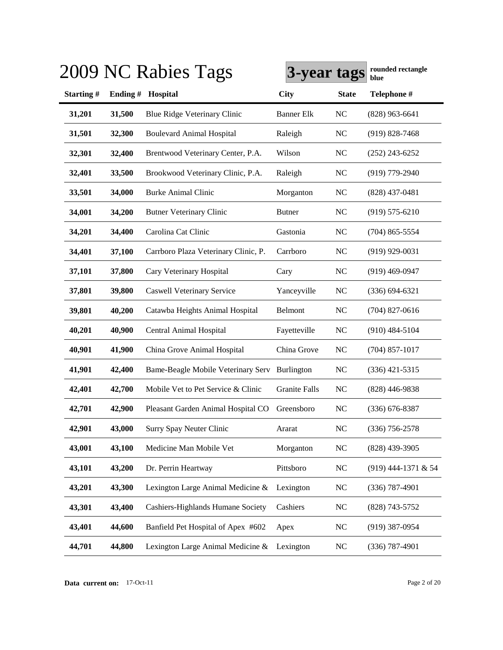|           |         | 2009 NC Rabies Tags                  | 3-year tags          |              | rounded rectangle<br>blue |
|-----------|---------|--------------------------------------|----------------------|--------------|---------------------------|
| Starting# | Ending# | Hospital                             | <b>City</b>          | <b>State</b> | Telephone #               |
| 31,201    | 31,500  | Blue Ridge Veterinary Clinic         | <b>Banner Elk</b>    | NC           | $(828)$ 963-6641          |
| 31,501    | 32,300  | <b>Boulevard Animal Hospital</b>     | Raleigh              | NC           | $(919) 828 - 7468$        |
| 32,301    | 32,400  | Brentwood Veterinary Center, P.A.    | Wilson               | <b>NC</b>    | $(252)$ 243-6252          |
| 32,401    | 33,500  | Brookwood Veterinary Clinic, P.A.    | Raleigh              | <b>NC</b>    | (919) 779-2940            |
| 33,501    | 34,000  | <b>Burke Animal Clinic</b>           | Morganton            | <b>NC</b>    | $(828)$ 437-0481          |
| 34,001    | 34,200  | <b>Butner Veterinary Clinic</b>      | <b>Butner</b>        | NC           | $(919) 575 - 6210$        |
| 34,201    | 34,400  | Carolina Cat Clinic                  | Gastonia             | NC           | $(704)$ 865-5554          |
| 34,401    | 37,100  | Carrboro Plaza Veterinary Clinic, P. | Carrboro             | NC           | $(919)$ 929-0031          |
| 37,101    | 37,800  | Cary Veterinary Hospital             | Cary                 | NC           | $(919)$ 469-0947          |
| 37,801    | 39,800  | <b>Caswell Veterinary Service</b>    | Yanceyville          | <b>NC</b>    | $(336) 694 - 6321$        |
| 39,801    | 40,200  | Catawba Heights Animal Hospital      | Belmont              | <b>NC</b>    | $(704)$ 827-0616          |
| 40,201    | 40,900  | Central Animal Hospital              | Fayetteville         | <b>NC</b>    | $(910)$ 484-5104          |
| 40,901    | 41,900  | China Grove Animal Hospital          | China Grove          | NC           | $(704)$ 857-1017          |
| 41,901    | 42,400  | Bame-Beagle Mobile Veterinary Serv   | Burlington           | NC           | $(336)$ 421-5315          |
| 42,401    | 42,700  | Mobile Vet to Pet Service & Clinic   | <b>Granite Falls</b> | <b>NC</b>    | $(828)$ 446-9838          |
| 42,701    | 42,900  | Pleasant Garden Animal Hospital CO   | Greensboro           | NC           | $(336)$ 676-8387          |
| 42,901    | 43,000  | Surry Spay Neuter Clinic             | Ararat               | NC           | $(336)$ 756-2578          |
| 43,001    | 43,100  | Medicine Man Mobile Vet              | Morganton            | NC           | $(828)$ 439-3905          |
| 43,101    | 43,200  | Dr. Perrin Heartway                  | Pittsboro            | NC           | (919) 444-1371 & 54       |
| 43,201    | 43,300  | Lexington Large Animal Medicine &    | Lexington            | NC           | $(336)$ 787-4901          |
| 43,301    | 43,400  | Cashiers-Highlands Humane Society    | Cashiers             | NC           | $(828)$ 743-5752          |
| 43,401    | 44,600  | Banfield Pet Hospital of Apex #602   | Apex                 | <b>NC</b>    | $(919)$ 387-0954          |
| 44,701    | 44,800  | Lexington Large Animal Medicine &    | Lexington            | NC           | $(336)$ 787-4901          |

**Data current on:** 17-Oct-11 Page 2 of 20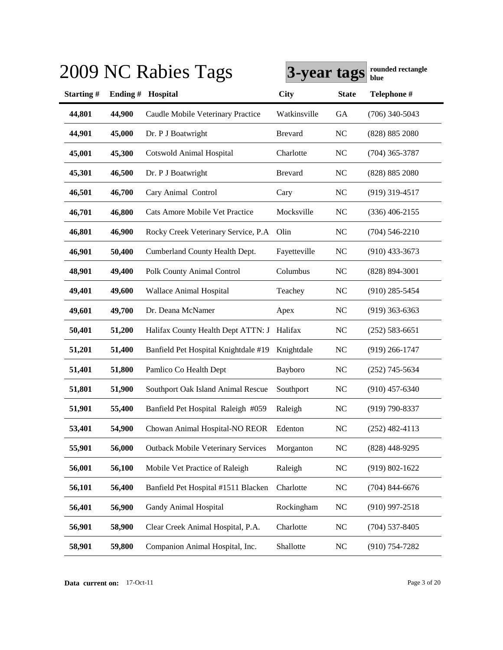|           |         | 2009 NC Rabies Tags                       | 3-year tags    |                | rounded rectangle<br>blue |
|-----------|---------|-------------------------------------------|----------------|----------------|---------------------------|
| Starting# | Ending# | Hospital                                  | <b>City</b>    | <b>State</b>   | Telephone #               |
| 44,801    | 44,900  | Caudle Mobile Veterinary Practice         | Watkinsville   | <b>GA</b>      | $(706)$ 340-5043          |
| 44,901    | 45,000  | Dr. P J Boatwright                        | <b>Brevard</b> | <b>NC</b>      | (828) 885 2080            |
| 45,001    | 45,300  | <b>Cotswold Animal Hospital</b>           | Charlotte      | N <sub>C</sub> | $(704)$ 365-3787          |
| 45,301    | 46,500  | Dr. P J Boatwright                        | <b>Brevard</b> | <b>NC</b>      | (828) 885 2080            |
| 46,501    | 46,700  | Cary Animal Control                       | Cary           | N <sub>C</sub> | $(919)$ 319-4517          |
| 46,701    | 46,800  | Cats Amore Mobile Vet Practice            | Mocksville     | NC             | $(336)$ 406-2155          |
| 46,801    | 46,900  | Rocky Creek Veterinary Service, P.A.      | Olin           | NC             | $(704)$ 546-2210          |
| 46,901    | 50,400  | Cumberland County Health Dept.            | Fayetteville   | <b>NC</b>      | $(910)$ 433-3673          |
| 48,901    | 49,400  | Polk County Animal Control                | Columbus       | N <sub>C</sub> | $(828) 894 - 3001$        |
| 49,401    | 49,600  | Wallace Animal Hospital                   | Teachey        | NC             | $(910)$ 285-5454          |
| 49,601    | 49,700  | Dr. Deana McNamer                         | Apex           | <b>NC</b>      | $(919)$ 363-6363          |
| 50,401    | 51,200  | Halifax County Health Dept ATTN: J        | Halifax        | <b>NC</b>      | $(252) 583 - 6651$        |
| 51,201    | 51,400  | Banfield Pet Hospital Knightdale #19      | Knightdale     | <b>NC</b>      | $(919)$ 266-1747          |
| 51,401    | 51,800  | Pamlico Co Health Dept                    | Bayboro        | <b>NC</b>      | $(252)$ 745-5634          |
| 51,801    | 51,900  | Southport Oak Island Animal Rescue        | Southport      | <b>NC</b>      | $(910)$ 457-6340          |
| 51,901    | 55,400  | Banfield Pet Hospital Raleigh #059        | Raleigh        | <b>NC</b>      | $(919) 790 - 8337$        |
| 53,401    | 54,900  | Chowan Animal Hospital-NO REOR            | Edenton        | N <sub>C</sub> | $(252)$ 482-4113          |
| 55,901    | 56,000  | <b>Outback Mobile Veterinary Services</b> | Morganton      | <b>NC</b>      | $(828)$ 448-9295          |
| 56,001    | 56,100  | Mobile Vet Practice of Raleigh            | Raleigh        | <b>NC</b>      | (919) 802-1622            |
| 56,101    | 56,400  | Banfield Pet Hospital #1511 Blacken       | Charlotte      | <b>NC</b>      | $(704)$ 844-6676          |
| 56,401    | 56,900  | Gandy Animal Hospital                     | Rockingham     | <b>NC</b>      | $(910)$ 997-2518          |
| 56,901    | 58,900  | Clear Creek Animal Hospital, P.A.         | Charlotte      | <b>NC</b>      | $(704)$ 537-8405          |
| 58,901    | 59,800  | Companion Animal Hospital, Inc.           | Shallotte      | ${\rm NC}$     | $(910) 754 - 7282$        |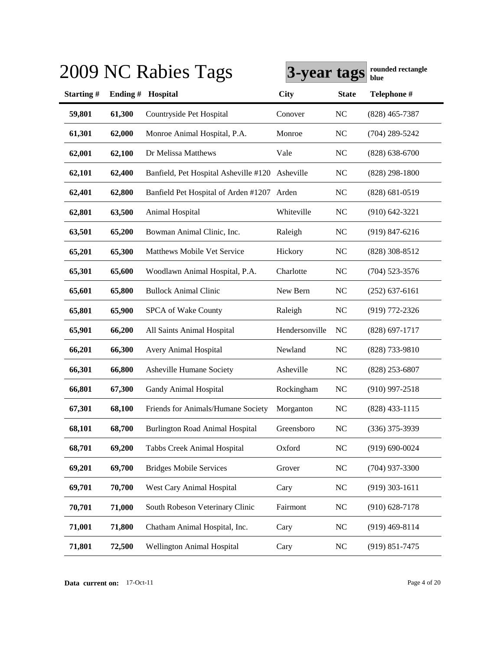|           |         | 2009 NC Rabies Tags                        | 3-year tags    |                | rounded rectangle<br>blue |
|-----------|---------|--------------------------------------------|----------------|----------------|---------------------------|
| Starting# | Ending# | Hospital                                   | <b>City</b>    | <b>State</b>   | Telephone #               |
| 59,801    | 61,300  | Countryside Pet Hospital                   | Conover        | N <sub>C</sub> | $(828)$ 465-7387          |
| 61,301    | 62,000  | Monroe Animal Hospital, P.A.               | Monroe         | N <sub>C</sub> | $(704)$ 289-5242          |
| 62,001    | 62,100  | Dr Melissa Matthews                        | Vale           | <b>NC</b>      | $(828) 638 - 6700$        |
| 62,101    | 62,400  | Banfield, Pet Hospital Asheville #120      | Asheville      | <b>NC</b>      | $(828)$ 298-1800          |
| 62,401    | 62,800  | Banfield Pet Hospital of Arden #1207 Arden |                | NC             | $(828) 681 - 0519$        |
| 62,801    | 63,500  | Animal Hospital                            | Whiteville     | <b>NC</b>      | $(910)$ 642-3221          |
| 63,501    | 65,200  | Bowman Animal Clinic, Inc.                 | Raleigh        | <b>NC</b>      | $(919)$ 847-6216          |
| 65,201    | 65,300  | Matthews Mobile Vet Service                | Hickory        | <b>NC</b>      | (828) 308-8512            |
| 65,301    | 65,600  | Woodlawn Animal Hospital, P.A.             | Charlotte      | <b>NC</b>      | $(704)$ 523-3576          |
| 65,601    | 65,800  | <b>Bullock Animal Clinic</b>               | New Bern       | <b>NC</b>      | $(252)$ 637-6161          |
| 65,801    | 65,900  | SPCA of Wake County                        | Raleigh        | <b>NC</b>      | (919) 772-2326            |
| 65,901    | 66,200  | All Saints Animal Hospital                 | Hendersonville | NC             | $(828) 697 - 1717$        |
| 66,201    | 66,300  | <b>Avery Animal Hospital</b>               | Newland        | <b>NC</b>      | (828) 733-9810            |
| 66,301    | 66,800  | Asheville Humane Society                   | Asheville      | <b>NC</b>      | $(828)$ 253-6807          |
| 66,801    | 67,300  | Gandy Animal Hospital                      | Rockingham     | <b>NC</b>      | $(910)$ 997-2518          |
| 67,301    | 68,100  | Friends for Animals/Humane Society         | Morganton      | <b>NC</b>      | $(828)$ 433-1115          |
| 68,101    | 68,700  | <b>Burlington Road Animal Hospital</b>     | Greensboro     | <b>NC</b>      | $(336)$ 375-3939          |
| 68,701    | 69,200  | Tabbs Creek Animal Hospital                | Oxford         | NC             | $(919) 690 - 0024$        |
| 69,201    | 69,700  | <b>Bridges Mobile Services</b>             | Grover         | <b>NC</b>      | $(704)$ 937-3300          |
| 69,701    | 70,700  | West Cary Animal Hospital                  | Cary           | <b>NC</b>      | $(919)$ 303-1611          |
| 70,701    | 71,000  | South Robeson Veterinary Clinic            | Fairmont       | <b>NC</b>      | $(910)$ 628-7178          |
| 71,001    | 71,800  | Chatham Animal Hospital, Inc.              | Cary           | <b>NC</b>      | $(919)$ 469-8114          |
| 71,801    | 72,500  | Wellington Animal Hospital                 | Cary           | <b>NC</b>      | $(919) 851 - 7475$        |

**Data current on:** 17-Oct-11 Page 4 of 20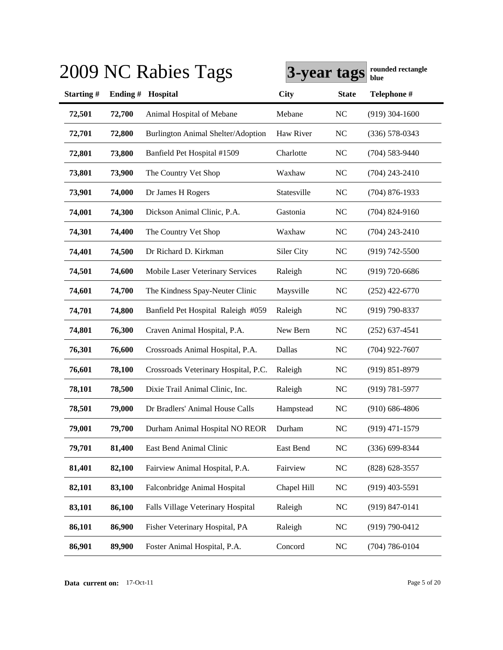|           |         | 2009 NC Rabies Tags                  | 3-year tags |                | rounded rectangle<br>blue |
|-----------|---------|--------------------------------------|-------------|----------------|---------------------------|
| Starting# | Ending# | Hospital                             | <b>City</b> | <b>State</b>   | Telephone #               |
| 72,501    | 72,700  | Animal Hospital of Mebane            | Mebane      | NC             | $(919)$ 304-1600          |
| 72,701    | 72,800  | Burlington Animal Shelter/Adoption   | Haw River   | N <sub>C</sub> | $(336)$ 578-0343          |
| 72,801    | 73,800  | Banfield Pet Hospital #1509          | Charlotte   | <b>NC</b>      | $(704)$ 583-9440          |
| 73,801    | 73,900  | The Country Vet Shop                 | Waxhaw      | N <sub>C</sub> | $(704)$ 243-2410          |
| 73,901    | 74,000  | Dr James H Rogers                    | Statesville | NC             | $(704)$ 876-1933          |
| 74,001    | 74,300  | Dickson Animal Clinic, P.A.          | Gastonia    | N <sub>C</sub> | $(704)$ 824-9160          |
| 74,301    | 74,400  | The Country Vet Shop                 | Waxhaw      | N <sub>C</sub> | $(704)$ 243-2410          |
| 74,401    | 74,500  | Dr Richard D. Kirkman                | Siler City  | <b>NC</b>      | $(919) 742 - 5500$        |
| 74,501    | 74,600  | Mobile Laser Veterinary Services     | Raleigh     | N <sub>C</sub> | $(919)$ 720-6686          |
| 74,601    | 74,700  | The Kindness Spay-Neuter Clinic      | Maysville   | <b>NC</b>      | $(252)$ 422-6770          |
| 74,701    | 74,800  | Banfield Pet Hospital Raleigh #059   | Raleigh     | <b>NC</b>      | $(919) 790 - 8337$        |
| 74,801    | 76,300  | Craven Animal Hospital, P.A.         | New Bern    | <b>NC</b>      | $(252)$ 637-4541          |
| 76,301    | 76,600  | Crossroads Animal Hospital, P.A.     | Dallas      | NC             | $(704)$ 922-7607          |
| 76,601    | 78,100  | Crossroads Veterinary Hospital, P.C. | Raleigh     | <b>NC</b>      | $(919) 851 - 8979$        |
| 78,101    | 78,500  | Dixie Trail Animal Clinic, Inc.      | Raleigh     | <b>NC</b>      | $(919) 781 - 5977$        |
| 78,501    | 79,000  | Dr Bradlers' Animal House Calls      | Hampstead   | <b>NC</b>      | $(910) 686 - 4806$        |
| 79,001    | 79,700  | Durham Animal Hospital NO REOR       | Durham      | <b>NC</b>      | $(919)$ 471-1579          |
| 79,701    | 81,400  | East Bend Animal Clinic              | East Bend   | NC             | $(336)$ 699-8344          |
| 81,401    | 82,100  | Fairview Animal Hospital, P.A.       | Fairview    | <b>NC</b>      | $(828)$ 628-3557          |
| 82,101    | 83,100  | Falconbridge Animal Hospital         | Chapel Hill | <b>NC</b>      | $(919)$ 403-5591          |
| 83,101    | 86,100  | Falls Village Veterinary Hospital    | Raleigh     | <b>NC</b>      | $(919)$ 847-0141          |
| 86,101    | 86,900  | Fisher Veterinary Hospital, PA       | Raleigh     | <b>NC</b>      | $(919) 790 - 0412$        |
| 86,901    | 89,900  | Foster Animal Hospital, P.A.         | Concord     | <b>NC</b>      | $(704) 786 - 0104$        |

**Data current on:** 17-Oct-11 Page 5 of 20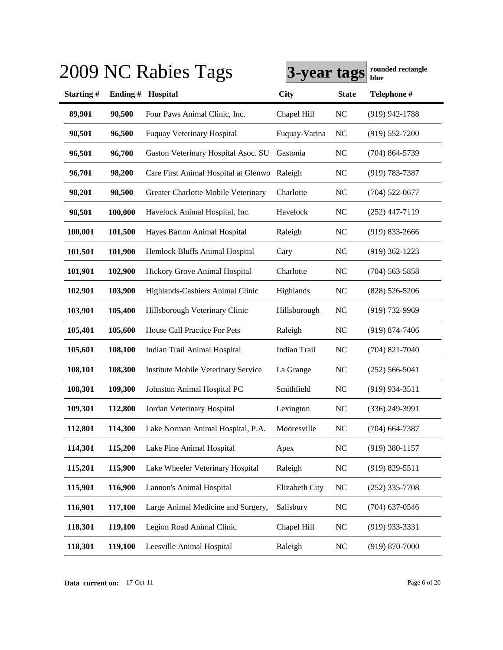|           |         | 2009 NC Rabies Tags                          | 3-year tags         |                | rounded rectangle<br>blue |
|-----------|---------|----------------------------------------------|---------------------|----------------|---------------------------|
| Starting# | Ending# | Hospital                                     | <b>City</b>         | <b>State</b>   | Telephone #               |
| 89,901    | 90,500  | Four Paws Animal Clinic, Inc.                | Chapel Hill         | <b>NC</b>      | $(919)$ 942-1788          |
| 90,501    | 96,500  | <b>Fuquay Veterinary Hospital</b>            | Fuquay-Varina       | <b>NC</b>      | $(919) 552 - 7200$        |
| 96,501    | 96,700  | Gaston Veterinary Hospital Asoc. SU          | Gastonia            | <b>NC</b>      | $(704) 864 - 5739$        |
| 96,701    | 98,200  | Care First Animal Hospital at Glenwo Raleigh |                     | <b>NC</b>      | $(919) 783 - 7387$        |
| 98,201    | 98,500  | Greater Charlotte Mobile Veterinary          | Charlotte           | <b>NC</b>      | $(704)$ 522-0677          |
| 98,501    | 100,000 | Havelock Animal Hospital, Inc.               | Havelock            | <b>NC</b>      | $(252)$ 447-7119          |
| 100,001   | 101,500 | Hayes Barton Animal Hospital                 | Raleigh             | <b>NC</b>      | $(919)$ 833-2666          |
| 101,501   | 101,900 | Hemlock Bluffs Animal Hospital               | Cary                | <b>NC</b>      | $(919)$ 362-1223          |
| 101,901   | 102,900 | Hickory Grove Animal Hospital                | Charlotte           | <b>NC</b>      | $(704)$ 563-5858          |
| 102,901   | 103,900 | Highlands-Cashiers Animal Clinic             | Highlands           | <b>NC</b>      | $(828) 526 - 5206$        |
| 103,901   | 105,400 | Hillsborough Veterinary Clinic               | Hillsborough        | <b>NC</b>      | (919) 732-9969            |
| 105,401   | 105,600 | House Call Practice For Pets                 | Raleigh             | <b>NC</b>      | $(919) 874 - 7406$        |
| 105,601   | 108,100 | Indian Trail Animal Hospital                 | <b>Indian Trail</b> | <b>NC</b>      | $(704)$ 821-7040          |
| 108,101   | 108,300 | Institute Mobile Veterinary Service          | La Grange           | <b>NC</b>      | $(252) 566 - 5041$        |
| 108,301   | 109,300 | Johnston Animal Hospital PC                  | Smithfield          | <b>NC</b>      | $(919)$ 934-3511          |
| 109,301   | 112,800 | Jordan Veterinary Hospital                   | Lexington           | N <sub>C</sub> | $(336)$ 249-3991          |
| 112,801   | 114,300 | Lake Norman Animal Hospital, P.A.            | Mooresville         | <b>NC</b>      | $(704)$ 664-7387          |
| 114,301   | 115,200 | Lake Pine Animal Hospital                    | Apex                | $NC$           | $(919)$ 380-1157          |
| 115,201   | 115,900 | Lake Wheeler Veterinary Hospital             | Raleigh             | $\rm NC$       | $(919) 829 - 5511$        |
| 115,901   | 116,900 | Lannon's Animal Hospital                     | Elizabeth City      | NC             | $(252)$ 335-7708          |
| 116,901   | 117,100 | Large Animal Medicine and Surgery,           | Salisbury           | $\rm NC$       | $(704)$ 637-0546          |
| 118,301   | 119,100 | Legion Road Animal Clinic                    | Chapel Hill         | <b>NC</b>      | $(919)$ 933-3331          |
| 118,301   | 119,100 | Leesville Animal Hospital                    | Raleigh             | <b>NC</b>      | $(919) 870 - 7000$        |

**Data current on:** 17-Oct-11 Page 6 of 20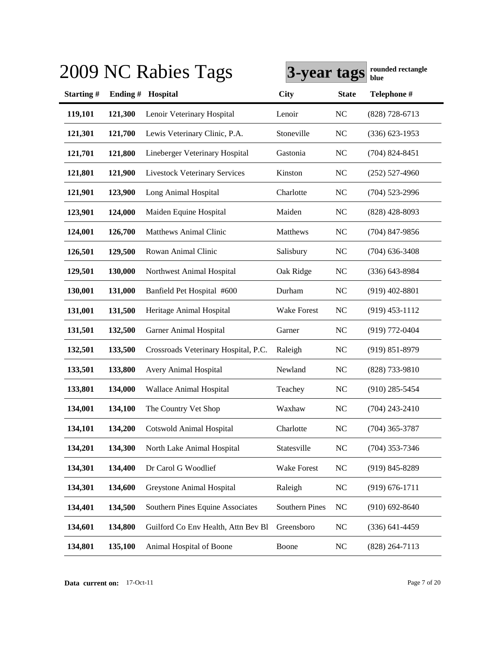|           |         | 2009 NC Rabies Tags                  | 3-year tags           |                | rounded rectangle<br>blue |
|-----------|---------|--------------------------------------|-----------------------|----------------|---------------------------|
| Starting# | Ending# | Hospital                             | <b>City</b>           | <b>State</b>   | Telephone #               |
| 119,101   | 121,300 | Lenoir Veterinary Hospital           | Lenoir                | <b>NC</b>      | $(828)$ 728-6713          |
| 121,301   | 121,700 | Lewis Veterinary Clinic, P.A.        | Stoneville            | <b>NC</b>      | $(336) 623 - 1953$        |
| 121,701   | 121,800 | Lineberger Veterinary Hospital       | Gastonia              | <b>NC</b>      | $(704)$ 824-8451          |
| 121,801   | 121,900 | <b>Livestock Veterinary Services</b> | Kinston               | <b>NC</b>      | $(252)$ 527-4960          |
| 121,901   | 123,900 | Long Animal Hospital                 | Charlotte             | <b>NC</b>      | $(704)$ 523-2996          |
| 123,901   | 124,000 | Maiden Equine Hospital               | Maiden                | <b>NC</b>      | $(828)$ 428-8093          |
| 124,001   | 126,700 | <b>Matthews Animal Clinic</b>        | Matthews              | <b>NC</b>      | $(704)$ 847-9856          |
| 126,501   | 129,500 | Rowan Animal Clinic                  | Salisbury             | <b>NC</b>      | $(704)$ 636-3408          |
| 129,501   | 130,000 | Northwest Animal Hospital            | Oak Ridge             | <b>NC</b>      | $(336)$ 643-8984          |
| 130,001   | 131,000 | Banfield Pet Hospital #600           | Durham                | NC             | $(919)$ 402-8801          |
| 131,001   | 131,500 | Heritage Animal Hospital             | <b>Wake Forest</b>    | N <sub>C</sub> | $(919)$ 453-1112          |
| 131,501   | 132,500 | Garner Animal Hospital               | Garner                | N <sub>C</sub> | $(919) 772 - 0404$        |
| 132,501   | 133,500 | Crossroads Veterinary Hospital, P.C. | Raleigh               | <b>NC</b>      | $(919) 851 - 8979$        |
| 133,501   | 133,800 | Avery Animal Hospital                | Newland               | <b>NC</b>      | (828) 733-9810            |
| 133,801   | 134,000 | Wallace Animal Hospital              | Teachey               | <b>NC</b>      | $(910)$ 285-5454          |
| 134,001   | 134,100 | The Country Vet Shop                 | Waxhaw                | N <sub>C</sub> | $(704)$ 243-2410          |
| 134,101   | 134,200 | Cotswold Animal Hospital             | Charlotte             | <b>NC</b>      | $(704)$ 365-3787          |
| 134,201   | 134,300 | North Lake Animal Hospital           | Statesville           | <b>NC</b>      | $(704)$ 353-7346          |
| 134,301   | 134,400 | Dr Carol G Woodlief                  | Wake Forest           | <b>NC</b>      | $(919) 845 - 8289$        |
| 134,301   | 134,600 | Greystone Animal Hospital            | Raleigh               | <b>NC</b>      | $(919) 676 - 1711$        |
| 134,401   | 134,500 | Southern Pines Equine Associates     | <b>Southern Pines</b> | NC             | $(910) 692 - 8640$        |
| 134,601   | 134,800 | Guilford Co Env Health, Attn Bev Bl  | Greensboro            | <b>NC</b>      | $(336) 641 - 4459$        |
| 134,801   | 135,100 | Animal Hospital of Boone             | Boone                 | <b>NC</b>      | $(828)$ 264-7113          |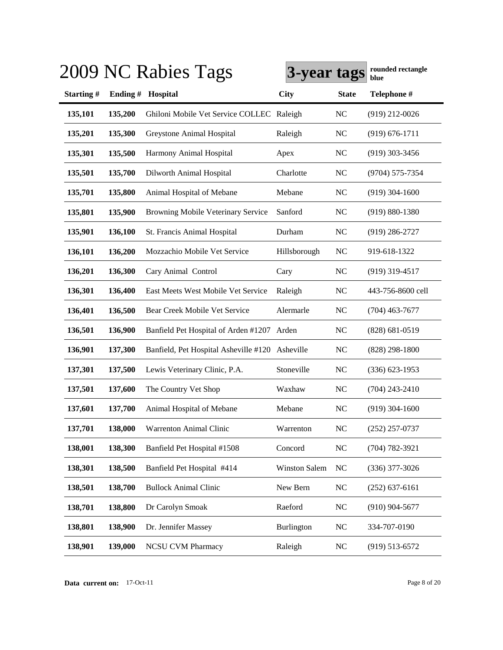|            |         | 2009 NC Rabies Tags                       | 3-year tags          |                | rounded rectangle<br>blue |
|------------|---------|-------------------------------------------|----------------------|----------------|---------------------------|
| Starting # | Ending# | Hospital                                  | <b>City</b>          | <b>State</b>   | Telephone #               |
| 135,101    | 135,200 | Ghiloni Mobile Vet Service COLLEC Raleigh |                      | N <sub>C</sub> | $(919)$ 212-0026          |
| 135,201    | 135,300 | Greystone Animal Hospital                 | Raleigh              | N <sub>C</sub> | $(919) 676 - 1711$        |
| 135,301    | 135,500 | Harmony Animal Hospital                   | Apex                 | N <sub>C</sub> | $(919)$ 303-3456          |
| 135,501    | 135,700 | Dilworth Animal Hospital                  | Charlotte            | N <sub>C</sub> | (9704) 575-7354           |
| 135,701    | 135,800 | Animal Hospital of Mebane                 | Mebane               | N <sub>C</sub> | $(919)$ 304-1600          |
| 135,801    | 135,900 | Browning Mobile Veterinary Service        | Sanford              | N <sub>C</sub> | $(919) 880 - 1380$        |
| 135,901    | 136,100 | St. Francis Animal Hospital               | Durham               | N <sub>C</sub> | $(919)$ 286-2727          |
| 136,101    | 136,200 | Mozzachio Mobile Vet Service              | Hillsborough         | NC             | 919-618-1322              |
| 136,201    | 136,300 | Cary Animal Control                       | Cary                 | N <sub>C</sub> | (919) 319-4517            |
| 136,301    | 136,400 | East Meets West Mobile Vet Service        | Raleigh              | N <sub>C</sub> | 443-756-8600 cell         |
| 136,401    | 136,500 | Bear Creek Mobile Vet Service             | Alermarle            | N <sub>C</sub> | $(704)$ 463-7677          |
| 136,501    | 136,900 | Banfield Pet Hospital of Arden #1207      | Arden                | NC             | $(828) 681 - 0519$        |
| 136,901    | 137,300 | Banfield, Pet Hospital Asheville #120     | Asheville            | NC             | $(828)$ 298-1800          |
| 137,301    | 137,500 | Lewis Veterinary Clinic, P.A.             | Stoneville           | N <sub>C</sub> | $(336)$ 623-1953          |
| 137,501    | 137,600 | The Country Vet Shop                      | Waxhaw               | N <sub>C</sub> | $(704)$ 243-2410          |
| 137,601    | 137,700 | Animal Hospital of Mebane                 | Mebane               | NC             | $(919)$ 304-1600          |
| 137,701    | 138,000 | Warrenton Animal Clinic                   | Warrenton            | NC             | (252) 257-0737            |
| 138,001    | 138,300 | Banfield Pet Hospital #1508               | Concord              | NC             | $(704) 782 - 3921$        |
| 138,301    | 138,500 | Banfield Pet Hospital #414                | <b>Winston Salem</b> | NC             | $(336)$ 377-3026          |
| 138,501    | 138,700 | <b>Bullock Animal Clinic</b>              | New Bern             | <b>NC</b>      | $(252)$ 637-6161          |
| 138,701    | 138,800 | Dr Carolyn Smoak                          | Raeford              | <b>NC</b>      | $(910)$ 904-5677          |
| 138,801    | 138,900 | Dr. Jennifer Massey                       | <b>Burlington</b>    | <b>NC</b>      | 334-707-0190              |
| 138,901    | 139,000 | <b>NCSU CVM Pharmacy</b>                  | Raleigh              | <b>NC</b>      | $(919) 513 - 6572$        |

**Data current on:** 17-Oct-11 Page 8 of 20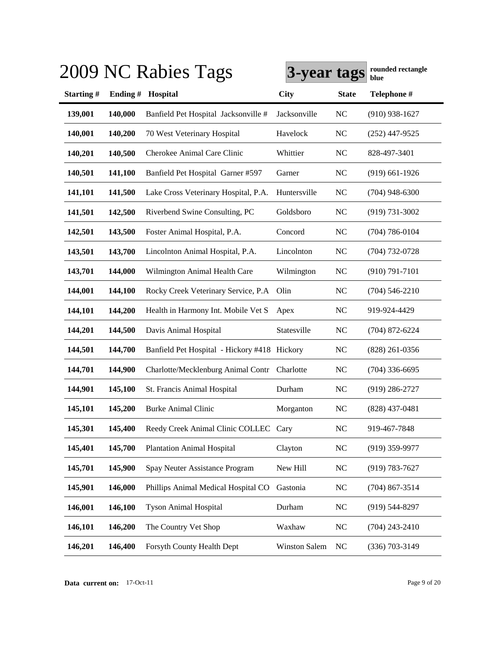|           |         | 2009 NC Rabies Tags                          | 3-year tags          |              | rounded rectangle<br>blue |
|-----------|---------|----------------------------------------------|----------------------|--------------|---------------------------|
| Starting# | Ending# | Hospital                                     | <b>City</b>          | <b>State</b> | Telephone #               |
| 139,001   | 140,000 | Banfield Pet Hospital Jacksonville #         | Jacksonville         | NC           | $(910)$ 938-1627          |
| 140,001   | 140,200 | 70 West Veterinary Hospital                  | Havelock             | $NC$         | $(252)$ 447-9525          |
| 140,201   | 140,500 | Cherokee Animal Care Clinic                  | Whittier             | NC           | 828-497-3401              |
| 140,501   | 141,100 | Banfield Pet Hospital Garner #597            | Garner               | <b>NC</b>    | $(919)$ 661-1926          |
| 141,101   | 141,500 | Lake Cross Veterinary Hospital, P.A.         | Huntersville         | <b>NC</b>    | $(704)$ 948-6300          |
| 141,501   | 142,500 | Riverbend Swine Consulting, PC               | Goldsboro            | <b>NC</b>    | $(919) 731 - 3002$        |
| 142,501   | 143,500 | Foster Animal Hospital, P.A.                 | Concord              | <b>NC</b>    | $(704) 786 - 0104$        |
| 143,501   | 143,700 | Lincolnton Animal Hospital, P.A.             | Lincolnton           | <b>NC</b>    | $(704) 732 - 0728$        |
| 143,701   | 144,000 | Wilmington Animal Health Care                | Wilmington           | <b>NC</b>    | $(910) 791 - 7101$        |
| 144,001   | 144,100 | Rocky Creek Veterinary Service, P.A.         | Olin                 | NC           | $(704) 546 - 2210$        |
| 144,101   | 144,200 | Health in Harmony Int. Mobile Vet S          | Apex                 | <b>NC</b>    | 919-924-4429              |
| 144,201   | 144,500 | Davis Animal Hospital                        | Statesville          | NC           | $(704)$ 872-6224          |
| 144,501   | 144,700 | Banfield Pet Hospital - Hickory #418 Hickory |                      | <b>NC</b>    | $(828)$ 261-0356          |
| 144,701   | 144,900 | Charlotte/Mecklenburg Animal Contr           | Charlotte            | <b>NC</b>    | $(704)$ 336-6695          |
| 144,901   | 145,100 | St. Francis Animal Hospital                  | Durham               | <b>NC</b>    | $(919)$ 286-2727          |
| 145,101   | 145,200 | <b>Burke Animal Clinic</b>                   | Morganton            | <b>NC</b>    | $(828)$ 437-0481          |
| 145,301   | 145,400 | Reedy Creek Animal Clinic COLLEC Cary        |                      | NC           | 919-467-7848              |
| 145,401   | 145,700 | <b>Plantation Animal Hospital</b>            | Clayton              | NC           | $(919)$ 359-9977          |
| 145,701   | 145,900 | Spay Neuter Assistance Program               | New Hill             | NC           | $(919) 783 - 7627$        |
| 145,901   | 146,000 | Phillips Animal Medical Hospital CO          | Gastonia             | NC           | $(704)$ 867-3514          |
| 146,001   | 146,100 | <b>Tyson Animal Hospital</b>                 | Durham               | NC           | $(919)$ 544-8297          |
| 146,101   | 146,200 | The Country Vet Shop                         | Waxhaw               | NC           | $(704)$ 243-2410          |
| 146,201   | 146,400 | Forsyth County Health Dept                   | <b>Winston Salem</b> | NC           | $(336)$ 703-3149          |

**Data current on:** 17-Oct-11 Page 9 of 20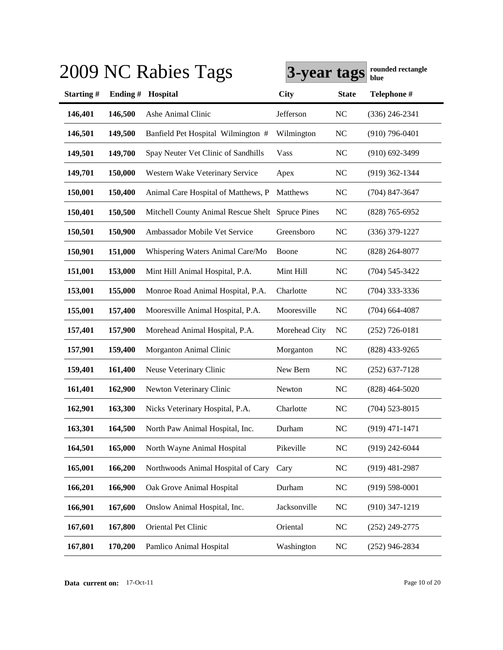|           |         | 2009 NC Rabies Tags                              | 3-year tags   |              | rounded rectangle<br>blue |
|-----------|---------|--------------------------------------------------|---------------|--------------|---------------------------|
| Starting# | Ending# | Hospital                                         | <b>City</b>   | <b>State</b> | Telephone #               |
| 146,401   | 146,500 | Ashe Animal Clinic                               | Jefferson     | NC           | $(336)$ 246-2341          |
| 146,501   | 149,500 | Banfield Pet Hospital Wilmington #               | Wilmington    | <b>NC</b>    | $(910)$ 796-0401          |
| 149,501   | 149,700 | Spay Neuter Vet Clinic of Sandhills              | Vass          | NC           | $(910)$ 692-3499          |
| 149,701   | 150,000 | Western Wake Veterinary Service                  | Apex          | NC           | $(919)$ 362-1344          |
| 150,001   | 150,400 | Animal Care Hospital of Matthews, P              | Matthews      | <b>NC</b>    | $(704)$ 847-3647          |
| 150,401   | 150,500 | Mitchell County Animal Rescue Shelt Spruce Pines |               | <b>NC</b>    | $(828)$ 765-6952          |
| 150,501   | 150,900 | Ambassador Mobile Vet Service                    | Greensboro    | NC           | (336) 379-1227            |
| 150,901   | 151,000 | Whispering Waters Animal Care/Mo                 | Boone         | <b>NC</b>    | $(828) 264 - 8077$        |
| 151,001   | 153,000 | Mint Hill Animal Hospital, P.A.                  | Mint Hill     | NC           | $(704) 545 - 3422$        |
| 153,001   | 155,000 | Monroe Road Animal Hospital, P.A.                | Charlotte     | <b>NC</b>    | $(704)$ 333-3336          |
| 155,001   | 157,400 | Mooresville Animal Hospital, P.A.                | Mooresville   | NC           | $(704)$ 664-4087          |
| 157,401   | 157,900 | Morehead Animal Hospital, P.A.                   | Morehead City | <b>NC</b>    | $(252)$ 726-0181          |
| 157,901   | 159,400 | Morganton Animal Clinic                          | Morganton     | NC           | $(828)$ 433-9265          |
| 159,401   | 161,400 | Neuse Veterinary Clinic                          | New Bern      | <b>NC</b>    | $(252)$ 637-7128          |
| 161,401   | 162,900 | Newton Veterinary Clinic                         | Newton        | <b>NC</b>    | $(828)$ 464-5020          |
| 162,901   | 163,300 | Nicks Veterinary Hospital, P.A.                  | Charlotte     | <b>NC</b>    | $(704)$ 523-8015          |
| 163,301   | 164,500 | North Paw Animal Hospital, Inc.                  | Durham        | <b>NC</b>    | $(919) 471 - 1471$        |
| 164,501   | 165,000 | North Wayne Animal Hospital                      | Pikeville     | NC           | $(919)$ 242-6044          |
| 165,001   | 166,200 | Northwoods Animal Hospital of Cary               | Cary          | <b>NC</b>    | $(919)$ 481-2987          |
| 166,201   | 166,900 | Oak Grove Animal Hospital                        | Durham        | <b>NC</b>    | $(919)$ 598-0001          |
| 166,901   | 167,600 | Onslow Animal Hospital, Inc.                     | Jacksonville  | <b>NC</b>    | $(910)$ 347-1219          |
| 167,601   | 167,800 | Oriental Pet Clinic                              | Oriental      | <b>NC</b>    | $(252)$ 249-2775          |
| 167,801   | 170,200 | Pamlico Animal Hospital                          | Washington    | <b>NC</b>    | $(252)$ 946-2834          |

**Data current on:** 17-Oct-11 Page 10 of 20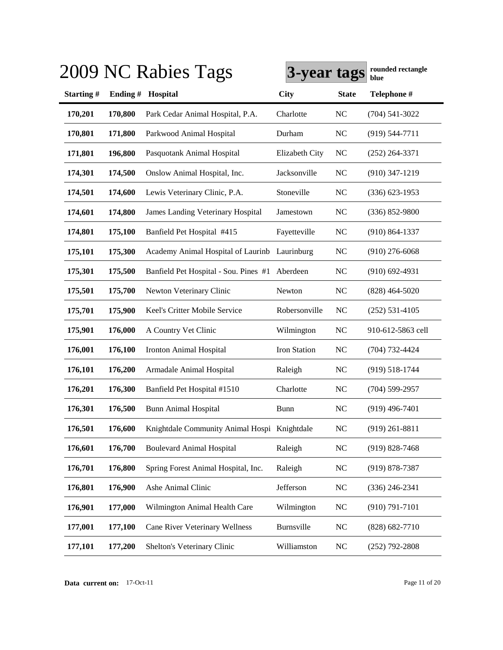|           |         | 2009 NC Rabies Tags                           | 3-year tags    |                | rounded rectangle<br>blue |
|-----------|---------|-----------------------------------------------|----------------|----------------|---------------------------|
| Starting# | Ending# | Hospital                                      | City           | <b>State</b>   | Telephone #               |
| 170,201   | 170,800 | Park Cedar Animal Hospital, P.A.              | Charlotte      | N <sub>C</sub> | $(704) 541 - 3022$        |
| 170,801   | 171,800 | Parkwood Animal Hospital                      | Durham         | NC             | $(919) 544 - 7711$        |
| 171,801   | 196,800 | Pasquotank Animal Hospital                    | Elizabeth City | N <sub>C</sub> | $(252)$ 264-3371          |
| 174,301   | 174,500 | Onslow Animal Hospital, Inc.                  | Jacksonville   | <b>NC</b>      | $(910)$ 347-1219          |
| 174,501   | 174,600 | Lewis Veterinary Clinic, P.A.                 | Stoneville     | N <sub>C</sub> | $(336)$ 623-1953          |
| 174,601   | 174,800 | <b>James Landing Veterinary Hospital</b>      | Jamestown      | N <sub>C</sub> | $(336) 852 - 9800$        |
| 174,801   | 175,100 | Banfield Pet Hospital #415                    | Fayetteville   | N <sub>C</sub> | $(910) 864 - 1337$        |
| 175,101   | 175,300 | Academy Animal Hospital of Laurinb Laurinburg |                | N <sub>C</sub> | $(910)$ 276-6068          |
| 175,301   | 175,500 | Banfield Pet Hospital - Sou. Pines #1         | Aberdeen       | N <sub>C</sub> | $(910)$ 692-4931          |
| 175,501   | 175,700 | Newton Veterinary Clinic                      | Newton         | NC             | $(828)$ 464-5020          |
| 175,701   | 175,900 | Keel's Critter Mobile Service                 | Robersonville  | NC             | $(252) 531 - 4105$        |
| 175,901   | 176,000 | A Country Vet Clinic                          | Wilmington     | NC             | 910-612-5863 cell         |
| 176,001   | 176,100 | Ironton Animal Hospital                       | Iron Station   | N <sub>C</sub> | (704) 732-4424            |
| 176,101   | 176,200 | Armadale Animal Hospital                      | Raleigh        | N <sub>C</sub> | $(919) 518 - 1744$        |
| 176,201   | 176,300 | Banfield Pet Hospital #1510                   | Charlotte      | N <sub>C</sub> | $(704) 599 - 2957$        |
| 176,301   | 176,500 | <b>Bunn Animal Hospital</b>                   | Bunn           | <b>NC</b>      | $(919)$ 496-7401          |
| 176,501   | 176,600 | Knightdale Community Animal Hospi Knightdale  |                | <b>NC</b>      | $(919)$ 261-8811          |
| 176,601   | 176,700 | <b>Boulevard Animal Hospital</b>              | Raleigh        | <b>NC</b>      | $(919) 828 - 7468$        |
| 176,701   | 176,800 | Spring Forest Animal Hospital, Inc.           | Raleigh        | <b>NC</b>      | $(919) 878 - 7387$        |
| 176,801   | 176,900 | Ashe Animal Clinic                            | Jefferson      | <b>NC</b>      | $(336)$ 246-2341          |
| 176,901   | 177,000 | Wilmington Animal Health Care                 | Wilmington     | <b>NC</b>      | $(910) 791 - 7101$        |
| 177,001   | 177,100 | <b>Cane River Veterinary Wellness</b>         | Burnsville     | <b>NC</b>      | $(828)$ 682-7710          |
| 177,101   | 177,200 | Shelton's Veterinary Clinic                   | Williamston    | <b>NC</b>      | $(252)$ 792-2808          |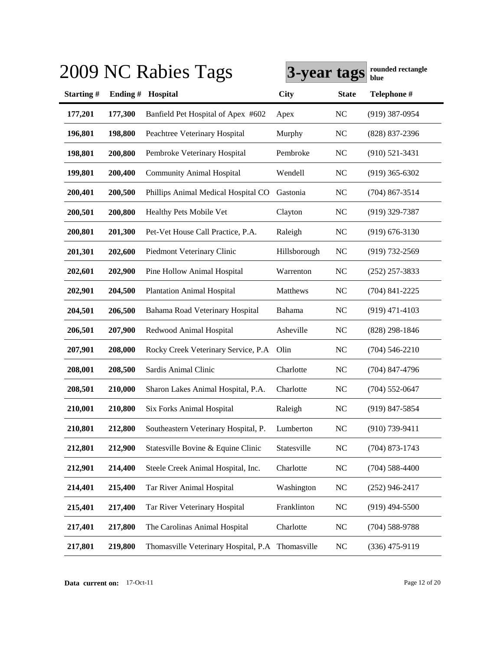|           |         | 2009 NC Rabies Tags                              | 3-year tags  |                | rounded rectangle<br>blue |
|-----------|---------|--------------------------------------------------|--------------|----------------|---------------------------|
| Starting# | Ending# | Hospital                                         | <b>City</b>  | <b>State</b>   | Telephone #               |
| 177,201   | 177,300 | Banfield Pet Hospital of Apex #602               | Apex         | <b>NC</b>      | $(919)$ 387-0954          |
| 196,801   | 198,800 | Peachtree Veterinary Hospital                    | Murphy       | <b>NC</b>      | (828) 837-2396            |
| 198,801   | 200,800 | Pembroke Veterinary Hospital                     | Pembroke     | <b>NC</b>      | $(910)$ 521-3431          |
| 199,801   | 200,400 | <b>Community Animal Hospital</b>                 | Wendell      | <b>NC</b>      | $(919)$ 365-6302          |
| 200,401   | 200,500 | Phillips Animal Medical Hospital CO              | Gastonia     | <b>NC</b>      | $(704)$ 867-3514          |
| 200,501   | 200,800 | Healthy Pets Mobile Vet                          | Clayton      | <b>NC</b>      | $(919)$ 329-7387          |
| 200,801   | 201,300 | Pet-Vet House Call Practice, P.A.                | Raleigh      | <b>NC</b>      | $(919) 676 - 3130$        |
| 201,301   | 202,600 | Piedmont Veterinary Clinic                       | Hillsborough | <b>NC</b>      | $(919) 732 - 2569$        |
| 202,601   | 202,900 | Pine Hollow Animal Hospital                      | Warrenton    | <b>NC</b>      | $(252)$ 257-3833          |
| 202,901   | 204,500 | <b>Plantation Animal Hospital</b>                | Matthews     | <b>NC</b>      | $(704)$ 841-2225          |
| 204,501   | 206,500 | Bahama Road Veterinary Hospital                  | Bahama       | N <sub>C</sub> | $(919)$ 471-4103          |
| 206,501   | 207,900 | Redwood Animal Hospital                          | Asheville    | N <sub>C</sub> | $(828)$ 298-1846          |
| 207,901   | 208,000 | Rocky Creek Veterinary Service, P.A.             | Olin         | N <sub>C</sub> | $(704) 546 - 2210$        |
| 208,001   | 208,500 | Sardis Animal Clinic                             | Charlotte    | <b>NC</b>      | $(704)$ 847-4796          |
| 208,501   | 210,000 | Sharon Lakes Animal Hospital, P.A.               | Charlotte    | <b>NC</b>      | $(704)$ 552-0647          |
| 210,001   | 210,800 | Six Forks Animal Hospital                        | Raleigh      | N <sub>C</sub> | $(919)$ 847-5854          |
| 210,801   | 212,800 | Southeastern Veterinary Hospital, P.             | Lumberton    | <b>NC</b>      | $(910)$ 739-9411          |
| 212,801   | 212,900 | Statesville Bovine & Equine Clinic               | Statesville  | NC             | $(704)$ 873-1743          |
| 212,901   | 214,400 | Steele Creek Animal Hospital, Inc.               | Charlotte    | <b>NC</b>      | $(704)$ 588-4400          |
| 214,401   | 215,400 | Tar River Animal Hospital                        | Washington   | <b>NC</b>      | $(252)$ 946-2417          |
| 215,401   | 217,400 | Tar River Veterinary Hospital                    | Franklinton  | NC             | $(919)$ 494-5500          |
| 217,401   | 217,800 | The Carolinas Animal Hospital                    | Charlotte    | <b>NC</b>      | $(704) 588 - 9788$        |
| 217,801   | 219,800 | Thomasville Veterinary Hospital, P.A Thomasville |              | <b>NC</b>      | $(336)$ 475-9119          |

**Data current on:** 17-Oct-11 Page 12 of 20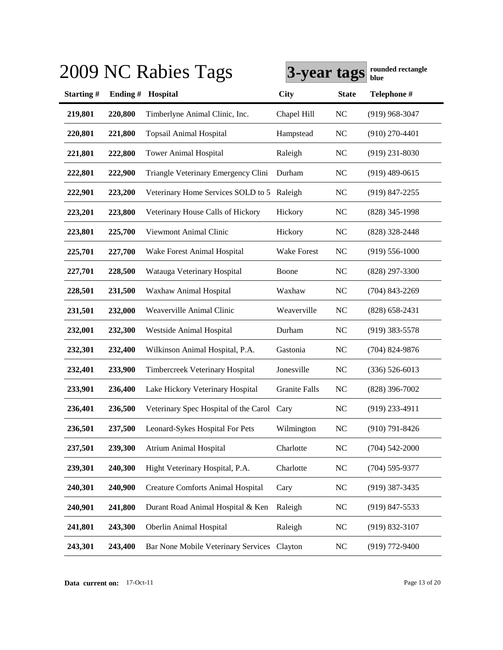|           |            | 2009 NC Rabies Tags                        | 3-year tags   |                | rounded rectangle<br>blue |
|-----------|------------|--------------------------------------------|---------------|----------------|---------------------------|
| Starting# | Ending $#$ | Hospital                                   | <b>City</b>   | <b>State</b>   | Telephone #               |
| 219,801   | 220,800    | Timberlyne Animal Clinic, Inc.             | Chapel Hill   | <b>NC</b>      | $(919)$ 968-3047          |
| 220,801   | 221,800    | <b>Topsail Animal Hospital</b>             | Hampstead     | <b>NC</b>      | $(910)$ 270-4401          |
| 221,801   | 222,800    | <b>Tower Animal Hospital</b>               | Raleigh       | NC             | $(919)$ 231-8030          |
| 222,801   | 222,900    | Triangle Veterinary Emergency Clini        | Durham        | <b>NC</b>      | $(919)$ 489-0615          |
| 222,901   | 223,200    | Veterinary Home Services SOLD to 5 Raleigh |               | <b>NC</b>      | $(919)$ 847-2255          |
| 223,201   | 223,800    | Veterinary House Calls of Hickory          | Hickory       | <b>NC</b>      | $(828)$ 345-1998          |
| 223,801   | 225,700    | Viewmont Animal Clinic                     | Hickory       | <b>NC</b>      | (828) 328-2448            |
| 225,701   | 227,700    | Wake Forest Animal Hospital                | Wake Forest   | <b>NC</b>      | $(919) 556 - 1000$        |
| 227,701   | 228,500    | Watauga Veterinary Hospital                | Boone         | <b>NC</b>      | (828) 297-3300            |
| 228,501   | 231,500    | Waxhaw Animal Hospital                     | Waxhaw        | N <sub>C</sub> | $(704)$ 843-2269          |
| 231,501   | 232,000    | Weaverville Animal Clinic                  | Weaverville   | <b>NC</b>      | $(828)$ 658-2431          |
| 232,001   | 232,300    | Westside Animal Hospital                   | Durham        | N <sub>C</sub> | $(919)$ 383-5578          |
| 232,301   | 232,400    | Wilkinson Animal Hospital, P.A.            | Gastonia      | <b>NC</b>      | $(704)$ 824-9876          |
| 232,401   | 233,900    | Timbercreek Veterinary Hospital            | Jonesville    | <b>NC</b>      | $(336) 526 - 6013$        |
| 233,901   | 236,400    | Lake Hickory Veterinary Hospital           | Granite Falls | <b>NC</b>      | $(828)$ 396-7002          |
| 236,401   | 236,500    | Veterinary Spec Hospital of the Carol Cary |               | NC             | $(919)$ 233-4911          |
| 236,501   | 237,500    | Leonard-Sykes Hospital For Pets            | Wilmington    | <b>NC</b>      | $(910) 791 - 8426$        |
| 237,501   | 239,300    | <b>Atrium Animal Hospital</b>              | Charlotte     | $NC$           | $(704) 542 - 2000$        |
| 239,301   | 240,300    | Hight Veterinary Hospital, P.A.            | Charlotte     | <b>NC</b>      | $(704)$ 595-9377          |
| 240,301   | 240,900    | <b>Creature Comforts Animal Hospital</b>   | Cary          | <b>NC</b>      | $(919)$ 387-3435          |
| 240,901   | 241,800    | Durant Road Animal Hospital & Ken          | Raleigh       | <b>NC</b>      | $(919)$ 847-5533          |
| 241,801   | 243,300    | Oberlin Animal Hospital                    | Raleigh       | <b>NC</b>      | $(919) 832 - 3107$        |
| 243,301   | 243,400    | Bar None Mobile Veterinary Services        | Clayton       | <b>NC</b>      | $(919)$ 772-9400          |

**Data current on:** 17-Oct-11 Page 13 of 20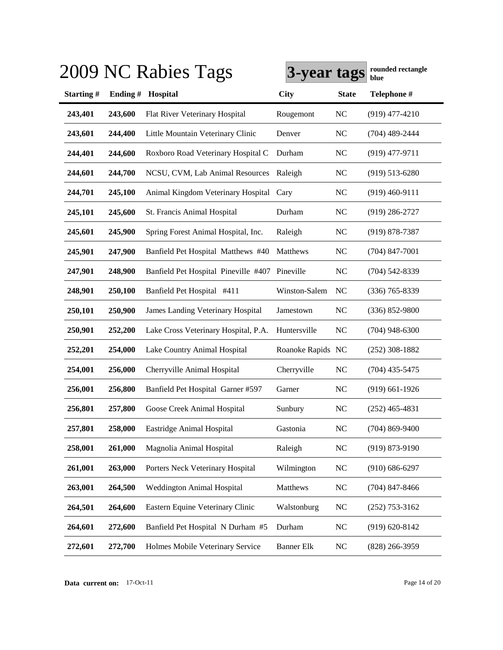|           |         | 2009 NC Rabies Tags                            | 3-year tags       |                | rounded rectangle<br>blue |
|-----------|---------|------------------------------------------------|-------------------|----------------|---------------------------|
| Starting# | Ending# | Hospital                                       | <b>City</b>       | <b>State</b>   | Telephone #               |
| 243,401   | 243,600 | Flat River Veterinary Hospital                 | Rougemont         | <b>NC</b>      | $(919)$ 477-4210          |
| 243,601   | 244,400 | Little Mountain Veterinary Clinic              | Denver            | <b>NC</b>      | $(704)$ 489-2444          |
| 244,401   | 244,600 | Roxboro Road Veterinary Hospital C             | Durham            | <b>NC</b>      | $(919)$ 477-9711          |
| 244,601   | 244,700 | NCSU, CVM, Lab Animal Resources                | Raleigh           | <b>NC</b>      | $(919)$ 513-6280          |
| 244,701   | 245,100 | Animal Kingdom Veterinary Hospital             | Cary              | <b>NC</b>      | $(919)$ 460-9111          |
| 245,101   | 245,600 | St. Francis Animal Hospital                    | Durham            | <b>NC</b>      | $(919)$ 286-2727          |
| 245,601   | 245,900 | Spring Forest Animal Hospital, Inc.            | Raleigh           | <b>NC</b>      | $(919) 878 - 7387$        |
| 245,901   | 247,900 | Banfield Pet Hospital Matthews #40             | Matthews          | <b>NC</b>      | $(704)$ 847-7001          |
| 247,901   | 248,900 | Banfield Pet Hospital Pineville #407 Pineville |                   | <b>NC</b>      | $(704) 542 - 8339$        |
| 248,901   | 250,100 | Banfield Pet Hospital #411                     | Winston-Salem     | N <sub>C</sub> | $(336)$ 765-8339          |
| 250,101   | 250,900 | <b>James Landing Veterinary Hospital</b>       | Jamestown         | <b>NC</b>      | $(336)$ 852-9800          |
| 250,901   | 252,200 | Lake Cross Veterinary Hospital, P.A.           | Huntersville      | N <sub>C</sub> | $(704)$ 948-6300          |
| 252,201   | 254,000 | Lake Country Animal Hospital                   | Roanoke Rapids NC |                | $(252)$ 308-1882          |
| 254,001   | 256,000 | Cherryville Animal Hospital                    | Cherryville       | <b>NC</b>      | $(704)$ 435-5475          |
| 256,001   | 256,800 | Banfield Pet Hospital Garner #597              | Garner            | <b>NC</b>      | $(919)$ 661-1926          |
| 256,801   | 257,800 | Goose Creek Animal Hospital                    | Sunbury           | <b>NC</b>      | $(252)$ 465-4831          |
| 257,801   | 258,000 | Eastridge Animal Hospital                      | Gastonia          | <b>NC</b>      | $(704)$ 869-9400          |
| 258,001   | 261,000 | Magnolia Animal Hospital                       | Raleigh           | <b>NC</b>      | $(919) 873 - 9190$        |
| 261,001   | 263,000 | Porters Neck Veterinary Hospital               | Wilmington        | <b>NC</b>      | $(910) 686 - 6297$        |
| 263,001   | 264,500 | Weddington Animal Hospital                     | Matthews          | <b>NC</b>      | $(704)$ 847-8466          |
| 264,501   | 264,600 | Eastern Equine Veterinary Clinic               | Walstonburg       | <b>NC</b>      | $(252)$ 753-3162          |
| 264,601   | 272,600 | Banfield Pet Hospital N Durham #5              | Durham            | <b>NC</b>      | $(919) 620 - 8142$        |
| 272,601   | 272,700 | Holmes Mobile Veterinary Service               | <b>Banner Elk</b> | <b>NC</b>      | (828) 266-3959            |

**Data current on:** 17-Oct-11 Page 14 of 20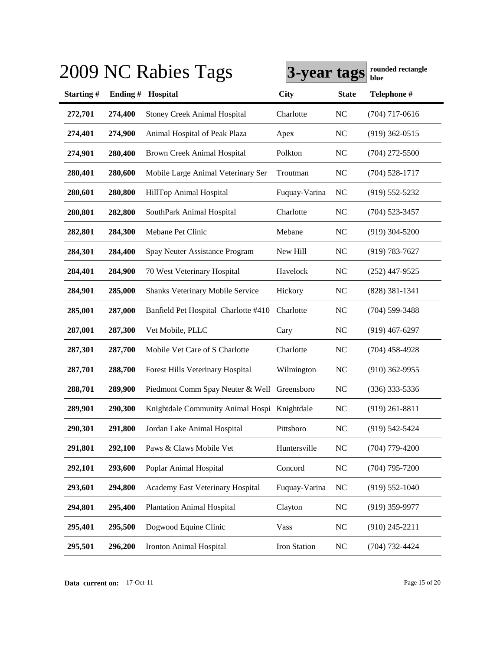|           |         | 2009 NC Rabies Tags                          | 3-year tags   |                | rounded rectangle<br>blue |
|-----------|---------|----------------------------------------------|---------------|----------------|---------------------------|
| Starting# | Ending# | Hospital                                     | <b>City</b>   | <b>State</b>   | Telephone #               |
| 272,701   | 274,400 | <b>Stoney Creek Animal Hospital</b>          | Charlotte     | <b>NC</b>      | $(704)$ 717-0616          |
| 274,401   | 274,900 | Animal Hospital of Peak Plaza                | Apex          | <b>NC</b>      | $(919)$ 362-0515          |
| 274,901   | 280,400 | <b>Brown Creek Animal Hospital</b>           | Polkton       | <b>NC</b>      | $(704)$ 272-5500          |
| 280,401   | 280,600 | Mobile Large Animal Veterinary Ser           | Troutman      | <b>NC</b>      | $(704) 528 - 1717$        |
| 280,601   | 280,800 | HillTop Animal Hospital                      | Fuquay-Varina | <b>NC</b>      | $(919) 552 - 5232$        |
| 280,801   | 282,800 | SouthPark Animal Hospital                    | Charlotte     | <b>NC</b>      | (704) 523-3457            |
| 282,801   | 284,300 | Mebane Pet Clinic                            | Mebane        | <b>NC</b>      | $(919)$ 304-5200          |
| 284,301   | 284,400 | Spay Neuter Assistance Program               | New Hill      | <b>NC</b>      | (919) 783-7627            |
| 284,401   | 284,900 | 70 West Veterinary Hospital                  | Havelock      | <b>NC</b>      | $(252)$ 447-9525          |
| 284,901   | 285,000 | Shanks Veterinary Mobile Service             | Hickory       | <b>NC</b>      | $(828)$ 381-1341          |
| 285,001   | 287,000 | Banfield Pet Hospital Charlotte #410         | Charlotte     | <b>NC</b>      | $(704)$ 599-3488          |
| 287,001   | 287,300 | Vet Mobile, PLLC                             | Cary          | <b>NC</b>      | $(919)$ 467-6297          |
| 287,301   | 287,700 | Mobile Vet Care of S Charlotte               | Charlotte     | <b>NC</b>      | (704) 458-4928            |
| 287,701   | 288,700 | Forest Hills Veterinary Hospital             | Wilmington    | <b>NC</b>      | $(910)$ 362-9955          |
| 288,701   | 289,900 | Piedmont Comm Spay Neuter & Well Greensboro  |               | <b>NC</b>      | $(336)$ 333-5336          |
| 289,901   | 290,300 | Knightdale Community Animal Hospi Knightdale |               | <b>NC</b>      | $(919)$ 261-8811          |
| 290,301   | 291,800 | Jordan Lake Animal Hospital                  | Pittsboro     | N <sub>C</sub> | (919) 542-5424            |
| 291,801   | 292,100 | Paws & Claws Mobile Vet                      | Huntersville  | <b>NC</b>      | $(704)$ 779-4200          |
| 292,101   | 293,600 | Poplar Animal Hospital                       | Concord       | NC             | $(704)$ 795-7200          |
| 293,601   | 294,800 | Academy East Veterinary Hospital             | Fuquay-Varina | <b>NC</b>      | $(919) 552 - 1040$        |
| 294,801   | 295,400 | <b>Plantation Animal Hospital</b>            | Clayton       | NC             | $(919)$ 359-9977          |
| 295,401   | 295,500 | Dogwood Equine Clinic                        | Vass          | <b>NC</b>      | $(910)$ 245-2211          |
| 295,501   | 296,200 | Ironton Animal Hospital                      | Iron Station  | NC             | (704) 732-4424            |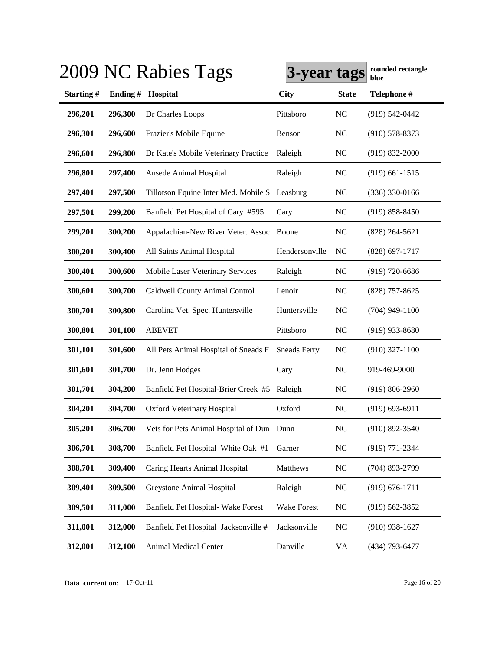|           |         | 2009 NC Rabies Tags                          | 3-year tags         |                | rounded rectangle<br>blue |
|-----------|---------|----------------------------------------------|---------------------|----------------|---------------------------|
| Starting# | Ending# | Hospital                                     | <b>City</b>         | <b>State</b>   | Telephone #               |
| 296,201   | 296,300 | Dr Charles Loops                             | Pittsboro           | <b>NC</b>      | $(919) 542 - 0442$        |
| 296,301   | 296,600 | Frazier's Mobile Equine                      | Benson              | <b>NC</b>      | $(910)$ 578-8373          |
| 296,601   | 296,800 | Dr Kate's Mobile Veterinary Practice         | Raleigh             | <b>NC</b>      | $(919) 832 - 2000$        |
| 296,801   | 297,400 | Ansede Animal Hospital                       | Raleigh             | <b>NC</b>      | $(919)$ 661-1515          |
| 297,401   | 297,500 | Tillotson Equine Inter Med. Mobile S         | Leasburg            | <b>NC</b>      | $(336)$ 330-0166          |
| 297,501   | 299,200 | Banfield Pet Hospital of Cary #595           | Cary                | <b>NC</b>      | $(919) 858 - 8450$        |
| 299,201   | 300,200 | Appalachian-New River Veter. Assoc           | Boone               | <b>NC</b>      | $(828)$ 264-5621          |
| 300,201   | 300,400 | All Saints Animal Hospital                   | Hendersonville      | N <sub>C</sub> | $(828)$ 697-1717          |
| 300,401   | 300,600 | <b>Mobile Laser Veterinary Services</b>      | Raleigh             | <b>NC</b>      | $(919) 720 - 6686$        |
| 300,601   | 300,700 | Caldwell County Animal Control               | Lenoir              | N <sub>C</sub> | $(828)$ 757-8625          |
| 300,701   | 300,800 | Carolina Vet. Spec. Huntersville             | Huntersville        | NC             | $(704)$ 949-1100          |
| 300,801   | 301,100 | <b>ABEVET</b>                                | Pittsboro           | <b>NC</b>      | $(919)$ 933-8680          |
| 301,101   | 301,600 | All Pets Animal Hospital of Sneads F         | <b>Sneads Ferry</b> | <b>NC</b>      | $(910)$ 327-1100          |
| 301,601   | 301,700 | Dr. Jenn Hodges                              | Cary                | <b>NC</b>      | 919-469-9000              |
| 301,701   | 304,200 | Banfield Pet Hospital-Brier Creek #5 Raleigh |                     | <b>NC</b>      | $(919) 806 - 2960$        |
| 304,201   | 304,700 | Oxford Veterinary Hospital                   | Oxford              | NC             | $(919) 693 - 6911$        |
| 305,201   | 306,700 | Vets for Pets Animal Hospital of Dun Dunn    |                     | <b>NC</b>      | $(910)$ 892-3540          |
| 306,701   | 308,700 | Banfield Pet Hospital White Oak #1           | Garner              | NC             | (919) 771-2344            |
| 308,701   | 309,400 | Caring Hearts Animal Hospital                | Matthews            | <b>NC</b>      | $(704)$ 893-2799          |
| 309,401   | 309,500 | Greystone Animal Hospital                    | Raleigh             | <b>NC</b>      | $(919) 676 - 1711$        |
| 309,501   | 311,000 | Banfield Pet Hospital- Wake Forest           | Wake Forest         | <b>NC</b>      | $(919) 562 - 3852$        |
| 311,001   | 312,000 | Banfield Pet Hospital Jacksonville #         | Jacksonville        | <b>NC</b>      | $(910)$ 938-1627          |
| 312,001   | 312,100 | Animal Medical Center                        | Danville            | VA             | (434) 793-6477            |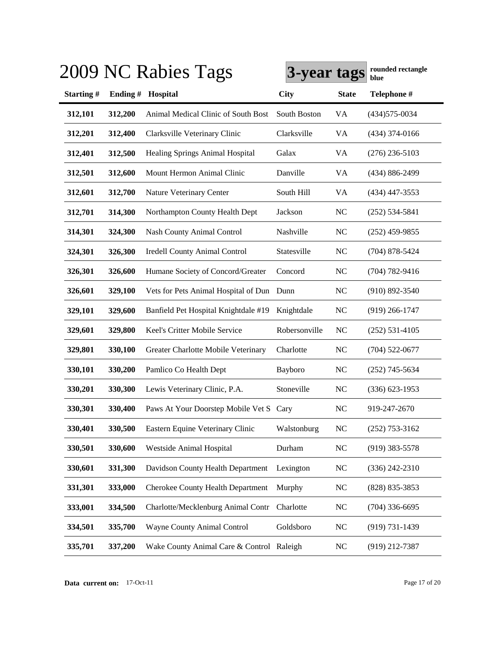|           |         | 2009 NC Rabies Tags                       | 3-year tags   |                | rounded rectangle<br>blue |
|-----------|---------|-------------------------------------------|---------------|----------------|---------------------------|
| Starting# | Ending# | Hospital                                  | <b>City</b>   | <b>State</b>   | Telephone #               |
| 312,101   | 312,200 | Animal Medical Clinic of South Bost       | South Boston  | VA             | $(434)575 - 0034$         |
| 312,201   | 312,400 | Clarksville Veterinary Clinic             | Clarksville   | VA             | $(434)$ 374-0166          |
| 312,401   | 312,500 | <b>Healing Springs Animal Hospital</b>    | Galax         | VA             | $(276)$ 236-5103          |
| 312,501   | 312,600 | Mount Hermon Animal Clinic                | Danville      | VA             | (434) 886-2499            |
| 312,601   | 312,700 | Nature Veterinary Center                  | South Hill    | VA             | $(434)$ 447-3553          |
| 312,701   | 314,300 | Northampton County Health Dept            | Jackson       | <b>NC</b>      | $(252)$ 534-5841          |
| 314,301   | 324,300 | <b>Nash County Animal Control</b>         | Nashville     | <b>NC</b>      | $(252)$ 459-9855          |
| 324,301   | 326,300 | <b>Iredell County Animal Control</b>      | Statesville   | <b>NC</b>      | $(704)$ 878-5424          |
| 326,301   | 326,600 | Humane Society of Concord/Greater         | Concord       | <b>NC</b>      | $(704) 782 - 9416$        |
| 326,601   | 329,100 | Vets for Pets Animal Hospital of Dun Dunn |               | NC             | $(910) 892 - 3540$        |
| 329,101   | 329,600 | Banfield Pet Hospital Knightdale #19      | Knightdale    | <b>NC</b>      | $(919)$ 266-1747          |
| 329,601   | 329,800 | Keel's Critter Mobile Service             | Robersonville | N <sub>C</sub> | $(252)$ 531-4105          |
| 329,801   | 330,100 | Greater Charlotte Mobile Veterinary       | Charlotte     | <b>NC</b>      | $(704)$ 522-0677          |
| 330,101   | 330,200 | Pamlico Co Health Dept                    | Bayboro       | <b>NC</b>      | $(252)$ 745-5634          |
| 330,201   | 330,300 | Lewis Veterinary Clinic, P.A.             | Stoneville    | N <sub>C</sub> | $(336) 623 - 1953$        |
| 330,301   | 330,400 | Paws At Your Doorstep Mobile Vet S Cary   |               | N <sub>C</sub> | 919-247-2670              |
| 330,401   | 330,500 | Eastern Equine Veterinary Clinic          | Walstonburg   | <b>NC</b>      | $(252)$ 753-3162          |
| 330,501   | 330,600 | Westside Animal Hospital                  | Durham        | NC             | $(919)$ 383-5578          |
| 330,601   | 331,300 | Davidson County Health Department         | Lexington     | <b>NC</b>      | $(336)$ 242-2310          |
| 331,301   | 333,000 | <b>Cherokee County Health Department</b>  | Murphy        | <b>NC</b>      | (828) 835-3853            |
| 333,001   | 334,500 | Charlotte/Mecklenburg Animal Contr        | Charlotte     | <b>NC</b>      | $(704)$ 336-6695          |
| 334,501   | 335,700 | Wayne County Animal Control               | Goldsboro     | N <sub>C</sub> | (919) 731-1439            |
| 335,701   | 337,200 | Wake County Animal Care & Control Raleigh |               | <b>NC</b>      | (919) 212-7387            |

**Data current on:** 17-Oct-11 Page 17 of 20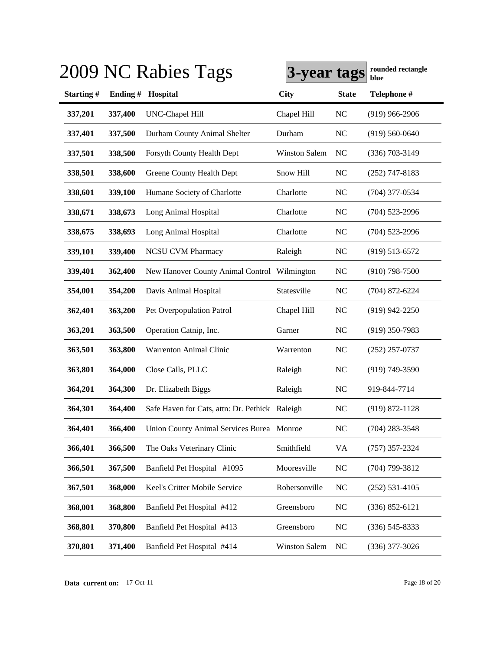|           |         | 2009 NC Rabies Tags                            | 3-year tags          |              | rounded rectangle<br>blue |
|-----------|---------|------------------------------------------------|----------------------|--------------|---------------------------|
| Starting# | Ending# | Hospital                                       | <b>City</b>          | <b>State</b> | Telephone #               |
| 337,201   | 337,400 | <b>UNC-Chapel Hill</b>                         | Chapel Hill          | <b>NC</b>    | $(919)$ 966-2906          |
| 337,401   | 337,500 | Durham County Animal Shelter                   | Durham               | <b>NC</b>    | $(919) 560 - 0640$        |
| 337,501   | 338,500 | Forsyth County Health Dept                     | <b>Winston Salem</b> | NC           | $(336)$ 703-3149          |
| 338,501   | 338,600 | Greene County Health Dept                      | Snow Hill            | <b>NC</b>    | $(252)$ 747-8183          |
| 338,601   | 339,100 | Humane Society of Charlotte                    | Charlotte            | <b>NC</b>    | $(704)$ 377-0534          |
| 338,671   | 338,673 | Long Animal Hospital                           | Charlotte            | <b>NC</b>    | $(704)$ 523-2996          |
| 338,675   | 338,693 | Long Animal Hospital                           | Charlotte            | <b>NC</b>    | $(704)$ 523-2996          |
| 339,101   | 339,400 | <b>NCSU CVM Pharmacy</b>                       | Raleigh              | <b>NC</b>    | $(919) 513 - 6572$        |
| 339,401   | 362,400 | New Hanover County Animal Control Wilmington   |                      | NC           | $(910)$ 798-7500          |
| 354,001   | 354,200 | Davis Animal Hospital                          | Statesville          | <b>NC</b>    | $(704)$ 872-6224          |
| 362,401   | 363,200 | Pet Overpopulation Patrol                      | Chapel Hill          | <b>NC</b>    | $(919)$ 942-2250          |
| 363,201   | 363,500 | Operation Catnip, Inc.                         | Garner               | <b>NC</b>    | $(919)$ 350-7983          |
| 363,501   | 363,800 | Warrenton Animal Clinic                        | Warrenton            | <b>NC</b>    | $(252)$ 257-0737          |
| 363,801   | 364,000 | Close Calls, PLLC                              | Raleigh              | <b>NC</b>    | $(919) 749 - 3590$        |
| 364,201   | 364,300 | Dr. Elizabeth Biggs                            | Raleigh              | <b>NC</b>    | 919-844-7714              |
| 364,301   | 364,400 | Safe Haven for Cats, attn: Dr. Pethick Raleigh |                      | <b>NC</b>    | $(919) 872 - 1128$        |
| 364,401   | 366,400 | Union County Animal Services Burea Monroe      |                      | <b>NC</b>    | (704) 283-3548            |
| 366,401   | 366,500 | The Oaks Veterinary Clinic                     | Smithfield           | <b>VA</b>    | $(757)$ 357-2324          |
| 366,501   | 367,500 | Banfield Pet Hospital #1095                    | Mooresville          | <b>NC</b>    | $(704)$ 799-3812          |
| 367,501   | 368,000 | Keel's Critter Mobile Service                  | Robersonville        | <b>NC</b>    | $(252) 531 - 4105$        |
| 368,001   | 368,800 | Banfield Pet Hospital #412                     | Greensboro           | <b>NC</b>    | $(336) 852 - 6121$        |
| 368,801   | 370,800 | Banfield Pet Hospital #413                     | Greensboro           | <b>NC</b>    | $(336) 545 - 8333$        |
| 370,801   | 371,400 | Banfield Pet Hospital #414                     | <b>Winston Salem</b> | <b>NC</b>    | $(336)$ 377-3026          |

**Data current on:** 17-Oct-11 Page 18 of 20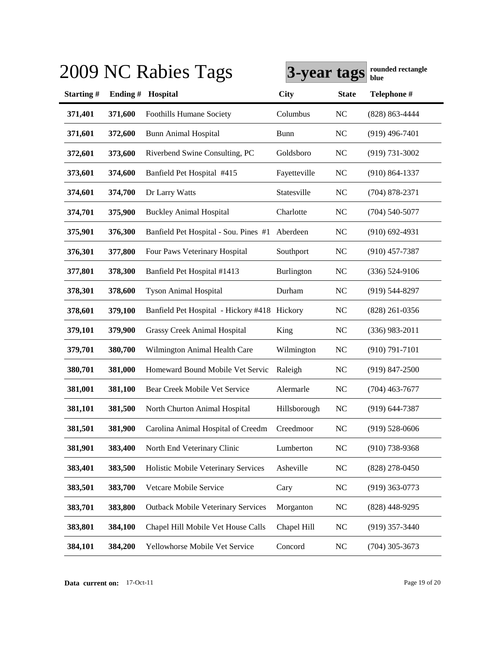|           |         | 2009 NC Rabies Tags                          | 3-year tags  |              | rounded rectangle<br>blue |
|-----------|---------|----------------------------------------------|--------------|--------------|---------------------------|
| Starting# | Ending# | Hospital                                     | City         | <b>State</b> | Telephone #               |
| 371,401   | 371,600 | Foothills Humane Society                     | Columbus     | NC           | $(828) 863 - 4444$        |
| 371,601   | 372,600 | <b>Bunn Animal Hospital</b>                  | Bunn         | NC           | $(919)$ 496-7401          |
| 372,601   | 373,600 | Riverbend Swine Consulting, PC               | Goldsboro    | NC           | $(919) 731 - 3002$        |
| 373,601   | 374,600 | Banfield Pet Hospital #415                   | Fayetteville | NC           | $(910) 864 - 1337$        |
| 374,601   | 374,700 | Dr Larry Watts                               | Statesville  | NC           | $(704)$ 878-2371          |
| 374,701   | 375,900 | <b>Buckley Animal Hospital</b>               | Charlotte    | NC           | $(704)$ 540-5077          |
| 375,901   | 376,300 | Banfield Pet Hospital - Sou. Pines #1        | Aberdeen     | NC           | $(910)$ 692-4931          |
| 376,301   | 377,800 | Four Paws Veterinary Hospital                | Southport    | NC           | $(910)$ 457-7387          |
| 377,801   | 378,300 | Banfield Pet Hospital #1413                  | Burlington   | NC           | $(336) 524-9106$          |
| 378,301   | 378,600 | <b>Tyson Animal Hospital</b>                 | Durham       | NC           | $(919)$ 544-8297          |
| 378,601   | 379,100 | Banfield Pet Hospital - Hickory #418 Hickory |              | NC           | $(828)$ 261-0356          |
| 379,101   | 379,900 | Grassy Creek Animal Hospital                 | King         | NC           | $(336)$ 983-2011          |
| 379,701   | 380,700 | Wilmington Animal Health Care                | Wilmington   | NC           | $(910) 791 - 7101$        |
| 380,701   | 381,000 | Homeward Bound Mobile Vet Servic             | Raleigh      | <b>NC</b>    | $(919)$ 847-2500          |
| 381,001   | 381,100 | Bear Creek Mobile Vet Service                | Alermarle    | NC           | $(704)$ 463-7677          |
| 381,101   | 381,500 | North Churton Animal Hospital                | Hillsborough | NC           | $(919) 644 - 7387$        |
| 381,501   | 381,900 | Carolina Animal Hospital of Creedm           | Creedmoor    | NC           | $(919) 528 - 0606$        |
| 381,901   | 383,400 | North End Veterinary Clinic                  | Lumberton    | NC           | $(910)$ 738-9368          |
| 383,401   | 383,500 | Holistic Mobile Veterinary Services          | Asheville    | NC           | $(828)$ 278-0450          |
| 383,501   | 383,700 | Vetcare Mobile Service                       | Cary         | NC           | $(919)$ 363-0773          |
| 383,701   | 383,800 | <b>Outback Mobile Veterinary Services</b>    | Morganton    | NC           | $(828)$ 448-9295          |
| 383,801   | 384,100 | Chapel Hill Mobile Vet House Calls           | Chapel Hill  | <b>NC</b>    | $(919)$ 357-3440          |
| 384,101   | 384,200 | Yellowhorse Mobile Vet Service               | Concord      | <b>NC</b>    | $(704)$ 305-3673          |

**Data current on:** 17-Oct-11 Page 19 of 20